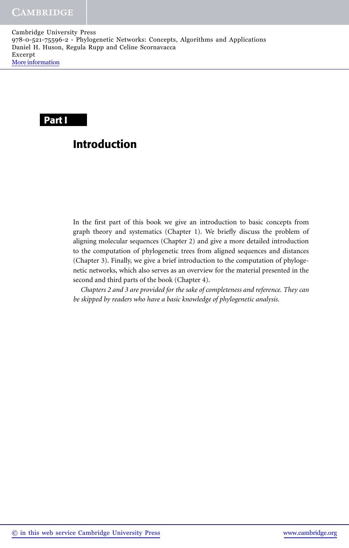## Part I

# Introduction

In the first part of this book we give an introduction to basic concepts from graph theory and systematics (Chapter 1). We briefly discuss the problem of aligning molecular sequences (Chapter 2) and give a more detailed introduction to the computation of phylogenetic trees from aligned sequences and distances (Chapter 3). Finally, we give a brief introduction to the computation of phylogenetic networks, which also serves as an overview for the material presented in the second and third parts of the book (Chapter 4).

*Chapters 2 and 3 are provided for the sake of completeness and reference. They can be skipped by readers who have a basic knowledge of phylogenetic analysis.*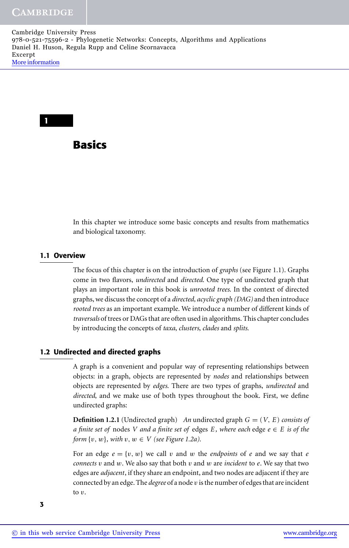1

Cambridge University Press 978-0-521-75596-2 - Phylogenetic Networks: Concepts, Algorithms and Applications Daniel H. Huson, Regula Rupp and Celine Scornavacca Excerpt [More information](http://www.cambridge.org/9780521755962)

**Basics**

In this chapter we introduce some basic concepts and results from mathematics and biological taxonomy.

### 1.1 Overview

The focus of this chapter is on the introduction of *graphs* (see Figure 1.1). Graphs come in two flavors, *undirected* and *directed*. One type of undirected graph that plays an important role in this book is *unrooted trees*. In the context of directed graphs, we discuss the concept of a *directed, acyclic graph (DAG)* and then introduce *rooted trees* as an important example. We introduce a number of different kinds of *traversals* of trees or DAGs that are often used in algorithms. This chapter concludes by introducing the concepts of *taxa*, *clusters*, *clades* and *splits*.

### 1.2 Undirected and directed graphs

A graph is a convenient and popular way of representing relationships between objects: in a graph, objects are represented by *nodes* and relationships between objects are represented by *edges*. There are two types of graphs, *undirected* and *directed*, and we make use of both types throughout the book. First, we define undirected graphs:

**Definition 1.2.1** (Undirected graph) *An* undirected graph  $G = (V, E)$  consists of *a finite set of* nodes *V* and a finite set of edges  $E$ , where each edge  $e \in E$  is of the *form*  $\{v, w\}$ *, with*  $v, w \in V$  (see Figure 1.2a).

For an edge  $e = \{v, w\}$  we call v and w the *endpoints* of *e* and we say that *e connects* v and w. We also say that both v and w are *incident* to *e*. We say that two edges are *adjacent*, if they share an endpoint, and two nodes are adjacent if they are connected by an edge. The *degree* of a node v is the number of edges that are incident to v.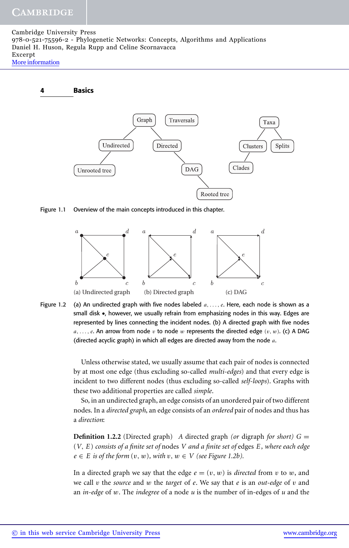4 Basics



Figure 1.1 Overview of the main concepts introduced in this chapter.



Figure 1.2 (a) An undirected graph with five nodes labeled *a*,...,*e*. Here, each node is shown as a small disk •, however, we usually refrain from emphasizing nodes in this way. Edges are represented by lines connecting the incident nodes. (b) A directed graph with five nodes  $a, \ldots, e$ . An arrow from node v to node w represents the directed edge  $(v, w)$ . (c) A DAG (directed acyclic graph) in which all edges are directed away from the node *a*.

Unless otherwise stated, we usually assume that each pair of nodes is connected by at most one edge (thus excluding so-called *multi-edges*) and that every edge is incident to two different nodes (thus excluding so-called *self-loops*). Graphs with these two additional properties are called *simple*.

So, in an undirected graph, an edge consists of an unordered pair of two different nodes. In a *directed graph*, an edge consists of an *ordered* pair of nodes and thus has a *direction*:

**Definition 1.2.2** (Directed graph) *A* directed graph *(or* digraph *for short)*  $G =$ (*V*, *E* ) *consists of a finite set of* nodes *V and a finite set of* edges *E , where each edge*  $e \in E$  *is of the form*  $(v, w)$ *, with*  $v, w \in V$  (see Figure 1.2b).

In a directed graph we say that the edge  $e = (v, w)$  is *directed* from v to w, and we call v the *source* and w the *target* of *e*. We say that *e* is an *out-edge* of v and an *in-edge* of w. The *indegree* of a node *u* is the number of in-edges of *u* and the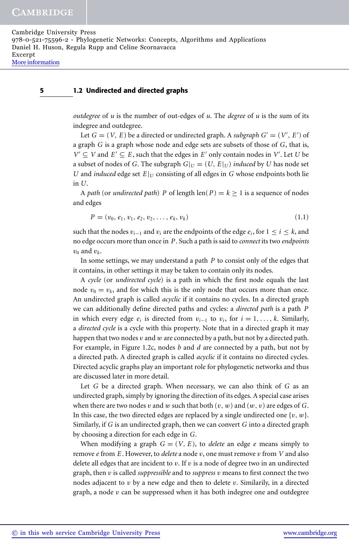#### 5 1.2 Undirected and directed graphs

*outdegree* of *u* is the number of out-edges of *u*. The *degree* of *u* is the sum of its indegree and outdegree.

Let  $G = (V, E)$  be a directed or undirected graph. A *subgraph*  $G' = (V', E')$  of a graph *G* is a graph whose node and edge sets are subsets of those of *G*, that is,  $V' \subseteq V$  and  $E' \subseteq E$ , such that the edges in  $E'$  only contain nodes in  $V'$ . Let *U* be a subset of nodes of *G*. The subgraph  $G|_U = (U, E|_U)$  *induced* by *U* has node set *U* and *induced* edge set  $E|_U$  consisting of all edges in *G* whose endpoints both lie in *U*.

A *path* (or *undirected path*) *P* of length len(*P*) =  $k \ge 1$  is a sequence of nodes and edges

$$
P = (v_0, e_1, v_1, e_2, v_2, \dots, e_k, v_k)
$$
\n(1.1)

such that the nodes  $v_{i-1}$  and  $v_i$  are the endpoints of the edge  $e_i$ , for  $1 \le i \le k$ , and no edge occurs more than once in *P* . Such a path is said to *connect* its two *endpoints*  $v_0$  and  $v_k$ .

In some settings, we may understand a path *P* to consist only of the edges that it contains, in other settings it may be taken to contain only its nodes.

A *cycle* (or *undirected cycle*) is a path in which the first node equals the last node  $v_0 = v_k$ , and for which this is the only node that occurs more than once. An undirected graph is called *acyclic* if it contains no cycles. In a directed graph we can additionally define directed paths and cycles: a *directed path* is a path *P* in which every edge  $e_i$  is directed from  $v_{i-1}$  to  $v_i$ , for  $i = 1, \ldots, k$ . Similarly, a *directed cycle* is a cycle with this property. Note that in a directed graph it may happen that two nodes  $v$  and  $w$  are connected by a path, but not by a directed path. For example, in Figure 1.2c, nodes *b* and *d* are connected by a path, but not by a directed path. A directed graph is called *acyclic* if it contains no directed cycles. Directed acyclic graphs play an important role for phylogenetic networks and thus are discussed later in more detail.

Let *G* be a directed graph. When necessary, we can also think of *G* as an undirected graph, simply by ignoring the direction of its edges. A special case arises when there are two nodes v and w such that both  $(v, w)$  and  $(w, v)$  are edges of *G*. In this case, the two directed edges are replaced by a single undirected one  $\{v, w\}$ . Similarly, if *G* is an undirected graph, then we can convert *G* into a directed graph by choosing a direction for each edge in *G*.

When modifying a graph  $G = (V, E)$ , to *delete* an edge *e* means simply to remove *e* from *E* . However, to *delete* a node v, one must remove v from *V* and also delete all edges that are incident to  $v$ . If  $v$  is a node of degree two in an undirected graph, then v is called *suppressible* and to *suppress* v means to first connect the two nodes adjacent to  $v$  by a new edge and then to delete  $v$ . Similarily, in a directed graph, a node  $v$  can be suppressed when it has both indegree one and outdegree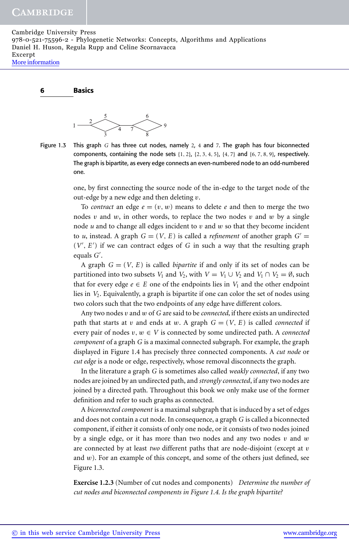6 Basics



Figure 1.3 This graph *G* has three cut nodes, namely 2, 4 and 7. The graph has four biconnected components, containing the node sets  $\{1, 2\}$ ,  $\{2, 3, 4, 5\}$ ,  $\{4, 7\}$  and  $\{6, 7, 8, 9\}$ , respectively. The graph is bipartite, as every edge connects an even-numbered node to an odd-numbered one.

> one, by first connecting the source node of the in-edge to the target node of the out-edge by a new edge and then deleting  $v$ .

> To *contract* an edge  $e = (v, w)$  means to delete *e* and then to merge the two nodes v and w, in other words, to replace the two nodes v and w by a single node *u* and to change all edges incident to v and w so that they become incident to *u*, instead. A graph  $G = (V, E)$  is called a *refinement* of another graph  $G' =$  $(V', E')$  if we can contract edges of  $G$  in such a way that the resulting graph equals *G'*.

> A graph  $G = (V, E)$  is called *bipartite* if and only if its set of nodes can be partitioned into two subsets *V*<sub>1</sub> and *V*<sub>2</sub>, with *V* = *V*<sub>1</sub>  $\cup$  *V*<sub>2</sub> and *V*<sub>1</sub>  $\cap$  *V*<sub>2</sub> = Ø, such that for every edge  $e \in E$  one of the endpoints lies in  $V_1$  and the other endpoint lies in *V*2. Equivalently, a graph is bipartite if one can color the set of nodes using two colors such that the two endpoints of any edge have different colors.

> Any two nodes v and w of *G* are said to be *connected*, if there exists an undirected path that starts at v and ends at w. A graph  $G = (V, E)$  is called *connected* if every pair of nodes  $v, w \in V$  is connected by some undirected path. A *connected component* of a graph *G* is a maximal connected subgraph. For example, the graph displayed in Figure 1.4 has precisely three connected components. A *cut node* or *cut edge* is a node or edge, respectively, whose removal disconnects the graph.

> In the literature a graph *G* is sometimes also called *weakly connected*, if any two nodes are joined by an undirected path, and *strongly connected*, if any two nodes are joined by a directed path. Throughout this book we only make use of the former definition and refer to such graphs as connected.

> A *biconnected component* is a maximal subgraph that is induced by a set of edges and does not contain a cut node. In consequence, a graph *G* is called a biconnected component, if either it consists of only one node, or it consists of two nodes joined by a single edge, or it has more than two nodes and any two nodes  $v$  and  $w$ are connected by at least *two* different paths that are node-disjoint (except at v and  $w$ ). For an example of this concept, and some of the others just defined, see Figure 1.3.

> **Exercise 1.2.3** (Number of cut nodes and components) *Determine the number of cut nodes and biconnected components in Figure 1.4. Is the graph bipartite?*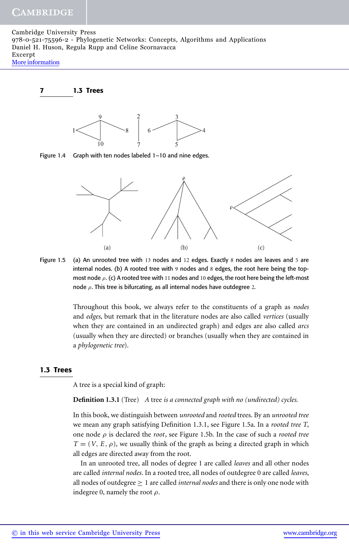7 1.3 Trees



Figure 1.4 Graph with ten nodes labeled 1–10 and nine edges.



Figure 1.5 (a) An unrooted tree with 13 nodes and 12 edges. Exactly 8 nodes are leaves and 5 are internal nodes. (b) A rooted tree with 9 nodes and 8 edges, the root here being the topmost node  $\rho$ . (c) A rooted tree with 11 nodes and 10 edges, the root here being the left-most node  $\rho$ . This tree is bifurcating, as all internal nodes have outdegree 2.

> Throughout this book, we always refer to the constituents of a graph as *nodes* and *edges*, but remark that in the literature nodes are also called *vertices* (usually when they are contained in an undirected graph) and edges are also called *arcs* (usually when they are directed) or branches (usually when they are contained in a *phylogenetic tree*).

### 1.3 Trees

A tree is a special kind of graph:

**Definition 1.3.1** (Tree) *A* tree *is a connected graph with no (undirected) cycles.*

In this book, we distinguish between *unrooted* and *rooted* trees. By an *unrooted tree* we mean any graph satisfying Definition 1.3.1, see Figure 1.5a. In a *rooted tree T*, one node ρ is declared the *root*, see Figure 1.5b. In the case of such a *rooted tree*  $T = (V, E, \rho)$ , we usually think of the graph as being a directed graph in which all edges are directed away from the root.

In an unrooted tree, all nodes of degree 1 are called *leaves* and all other nodes are called *internal nodes*. In a rooted tree, all nodes of outdegree 0 are called *leaves*, all nodes of outdegree  $\geq 1$  are called *internal nodes* and there is only one node with indegree 0, namely the root  $\rho$ .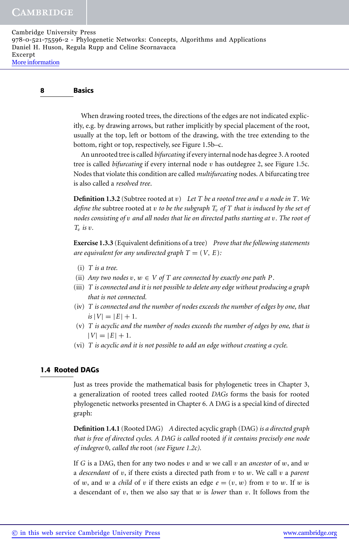#### 8 Basics

When drawing rooted trees, the directions of the edges are not indicated explicitly, e.g. by drawing arrows, but rather implicitly by special placement of the root, usually at the top, left or bottom of the drawing, with the tree extending to the bottom, right or top, respectively, see Figure 1.5b–c.

An unrooted tree is called *bifurcating* if every internal node has degree 3. A rooted tree is called *bifurcating* if every internal node v has outdegree 2, see Figure 1.5c. Nodes that violate this condition are called *multifurcating* nodes. A bifurcating tree is also called a *resolved tree*.

**Definition 1.3.2** (Subtree rooted at v) *Let T be a rooted tree and* v *a node in T. We define the* subtree rooted at v *to be the subgraph*  $T_v$  *of*  $T$  *that is induced by the set of nodes consisting of* v *and all nodes that lie on directed paths starting at* v*. The root of*  $T_v$  *is*  $v$ .

**Exercise 1.3.3** (Equivalent definitions of a tree) *Prove that the following statements are equivalent for any undirected graph*  $T = (V, E)$ *:* 

- (i) *T is a tree.*
- (ii) *Any two nodes*  $v, w \in V$  *of*  $T$  *are connected by exactly one path*  $P$ *.*
- (iii) *T is connected and it is not possible to delete any edge without producing a graph that is not connected.*
- (iv) *T is connected and the number of nodes exceeds the number of edges by one, that*  $i s |V| = |E| + 1.$
- (v) *T is acyclic and the number of nodes exceeds the number of edges by one, that is*  $|V|=|E|+1$ .
- (vi) *T is acyclic and it is not possible to add an edge without creating a cycle.*

### 1.4 Rooted DAGs

Just as trees provide the mathematical basis for phylogenetic trees in Chapter 3, a generalization of rooted trees called rooted *DAGs* forms the basis for rooted phylogenetic networks presented in Chapter 6. A DAG is a special kind of directed graph:

**Definition 1.4.1** (Rooted DAG) *A* directed acyclic graph (DAG) *is a directed graph that is free of directed cycles. A DAG is called* rooted *if it contains precisely one node of indegree* 0*, called the* root *(see Figure 1.2c).*

If *G* is a DAG, then for any two nodes v and w we call v an *ancestor* of w, and w a *descendant* of v, if there exists a directed path from v to w. We call v a *parent* of w, and w a *child* of v if there exists an edge  $e = (v, w)$  from v to w. If w is a descendant of v, then we also say that w is *lower* than v. It follows from the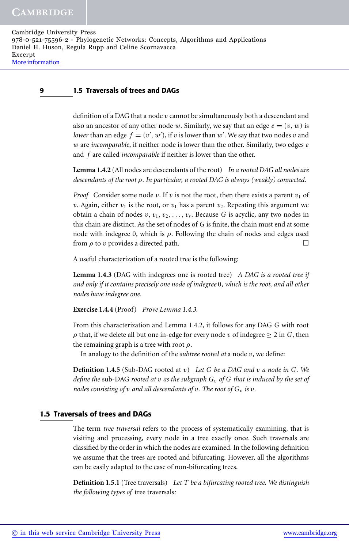#### 9 1.5 Traversals of trees and DAGs

definition of a DAG that a node  $v$  cannot be simultaneously both a descendant and also an ancestor of any other node w. Similarly, we say that an edge  $e = (v, w)$  is lower than an edge  $f = (v', w')$ , if v is lower than w'. We say that two nodes v and w are *incomparable*, if neither node is lower than the other. Similarly, two edges *e* and *f* are called *incomparable* if neither is lower than the other.

**Lemma 1.4.2** (All nodes are descendants of the root) *In a rooted DAG all nodes are descendants of the root* ρ*. In particular, a rooted DAG is always (weakly) connected.*

*Proof* Consider some node v. If v is not the root, then there exists a parent  $v_1$  of v. Again, either  $v_1$  is the root, or  $v_1$  has a parent  $v_2$ . Repeating this argument we obtain a chain of nodes  $v, v_1, v_2, \ldots, v_r$ . Because *G* is acyclic, any two nodes in this chain are distinct. As the set of nodes of *G* is finite, the chain must end at some node with indegree 0, which is  $\rho$ . Following the chain of nodes and edges used from  $\rho$  to v provides a directed path.

A useful characterization of a rooted tree is the following:

**Lemma 1.4.3** (DAG with indegrees one is rooted tree) *A DAG is a rooted tree if and only if it contains precisely one node of indegree* 0*, which is the root, and all other nodes have indegree one.*

**Exercise 1.4.4** (Proof) *Prove Lemma 1.4.3.*

From this characterization and Lemma 1.4.2, it follows for any DAG *G* with root  $\rho$  that, if we delete all but one in-edge for every node v of indegree  $\geq 2$  in *G*, then the remaining graph is a tree with root  $\rho$ .

In analogy to the definition of the *subtree rooted at* a node v, we define:

**Definition 1.4.5** (Sub-DAG rooted at v) *Let G be a DAG and* v *a node in G. We define the* sub-DAG *rooted at* v *as the subgraph G*<sup>v</sup> *of G that is induced by the set of nodes consisting of* v *and all descendants of* v. The root of  $G_v$  *is* v.

#### 1.5 Traversals of trees and DAGs

The term *tree traversal* refers to the process of systematically examining, that is visiting and processing, every node in a tree exactly once. Such traversals are classified by the order in which the nodes are examined. In the following definition we assume that the trees are rooted and bifurcating. However, all the algorithms can be easily adapted to the case of non-bifurcating trees.

**Definition 1.5.1** (Tree traversals) *Let T be a bifurcating rooted tree. We distinguish the following types of* tree traversals*:*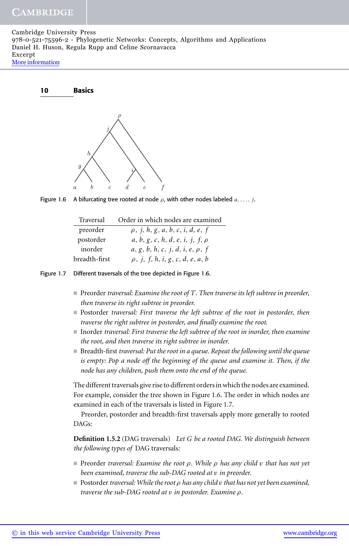





| Traversal     | Order in which nodes are examined     |
|---------------|---------------------------------------|
| preorder      | $\rho$ , j, h, g, a, b, c, i, d, e, f |
| postorder     | $a, b, g, c, h, d, e, i, j, f, \rho$  |
| inorder       | $a, g, b, h, c, j, d, i, e, \rho, f$  |
| breadth-first | $\rho$ , j, f, h, i, g, c, d, e, a, b |
|               |                                       |

#### Figure 1.7 Different traversals of the tree depicted in Figure 1.6.

- Preorder *traversal: Examine the root of T. Then traverse its left subtree in preorder, then traverse its right subtree in preorder.*
- $\blacksquare$  Postorder *traversal: First traverse the left subtree of the root in postorder, then traverse the right subtree in postorder, and finally examine the root.*
- Inorder *traversal: First traverse the left subtree of the root in inorder, then examine the root, and then traverse its right subtree in inorder.*
- Breadth-first *traversal: Put the root in a queue. Repeat the following until the queue is empty: Pop a node off the beginning of the queue and examine it. Then, if the node has any children, push them onto the end of the queue.*

The different traversals give rise to different orders in which the nodes are examined. For example, consider the tree shown in Figure 1.6. The order in which nodes are examined in each of the traversals is listed in Figure 1.7.

Preorder, postorder and breadth-first traversals apply more generally to rooted DAGs:

**Definition 1.5.2** (DAG traversals) *Let G be a rooted DAG. We distinguish between the following types of* DAG traversals*:*

- Preorder *traversal: Examine the root* ρ*. While* ρ *has any child* v *that has not yet been examined, traverse the sub-DAG rooted at* v *in preorder.*
- Postorder*traversal: While the root* ρ *has any child* v *that has not yet been examined, traverse the sub-DAG rooted at* v *in postorder. Examine* ρ*.*